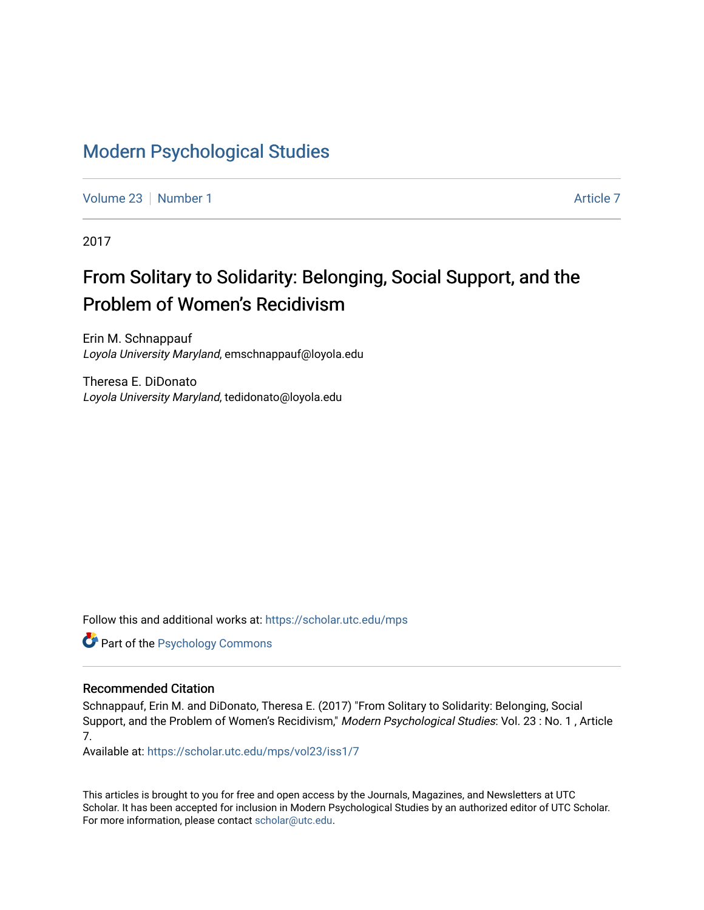# [Modern Psychological Studies](https://scholar.utc.edu/mps)

[Volume 23](https://scholar.utc.edu/mps/vol23) [Number 1](https://scholar.utc.edu/mps/vol23/iss1) [Article 7](https://scholar.utc.edu/mps/vol23/iss1/7) Article 7 Article 7 Article 7 Article 7 Article 7 Article 7

2017

# From Solitary to Solidarity: Belonging, Social Support, and the Problem of Women's Recidivism

Erin M. Schnappauf Loyola University Maryland, emschnappauf@loyola.edu

Theresa E. DiDonato Loyola University Maryland, tedidonato@loyola.edu

Follow this and additional works at: [https://scholar.utc.edu/mps](https://scholar.utc.edu/mps?utm_source=scholar.utc.edu%2Fmps%2Fvol23%2Fiss1%2F7&utm_medium=PDF&utm_campaign=PDFCoverPages) 

Part of the [Psychology Commons](http://network.bepress.com/hgg/discipline/404?utm_source=scholar.utc.edu%2Fmps%2Fvol23%2Fiss1%2F7&utm_medium=PDF&utm_campaign=PDFCoverPages) 

#### Recommended Citation

Schnappauf, Erin M. and DiDonato, Theresa E. (2017) "From Solitary to Solidarity: Belonging, Social Support, and the Problem of Women's Recidivism," Modern Psychological Studies: Vol. 23 : No. 1 , Article 7.

Available at: [https://scholar.utc.edu/mps/vol23/iss1/7](https://scholar.utc.edu/mps/vol23/iss1/7?utm_source=scholar.utc.edu%2Fmps%2Fvol23%2Fiss1%2F7&utm_medium=PDF&utm_campaign=PDFCoverPages) 

This articles is brought to you for free and open access by the Journals, Magazines, and Newsletters at UTC Scholar. It has been accepted for inclusion in Modern Psychological Studies by an authorized editor of UTC Scholar. For more information, please contact [scholar@utc.edu](mailto:scholar@utc.edu).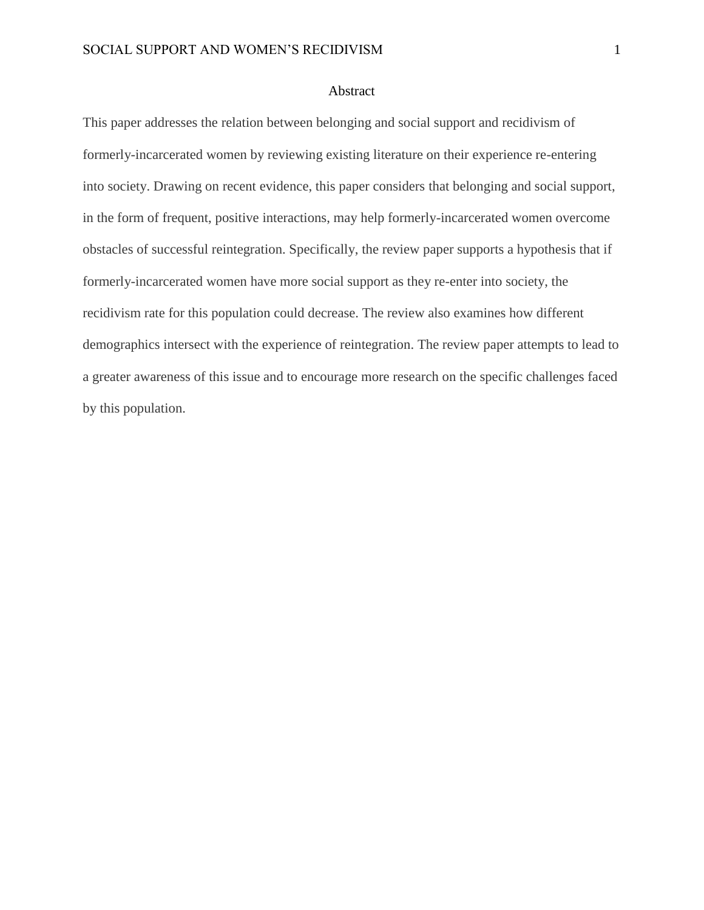#### Abstract

This paper addresses the relation between belonging and social support and recidivism of formerly-incarcerated women by reviewing existing literature on their experience re-entering into society. Drawing on recent evidence, this paper considers that belonging and social support, in the form of frequent, positive interactions, may help formerly-incarcerated women overcome obstacles of successful reintegration. Specifically, the review paper supports a hypothesis that if formerly-incarcerated women have more social support as they re-enter into society, the recidivism rate for this population could decrease. The review also examines how different demographics intersect with the experience of reintegration. The review paper attempts to lead to a greater awareness of this issue and to encourage more research on the specific challenges faced by this population.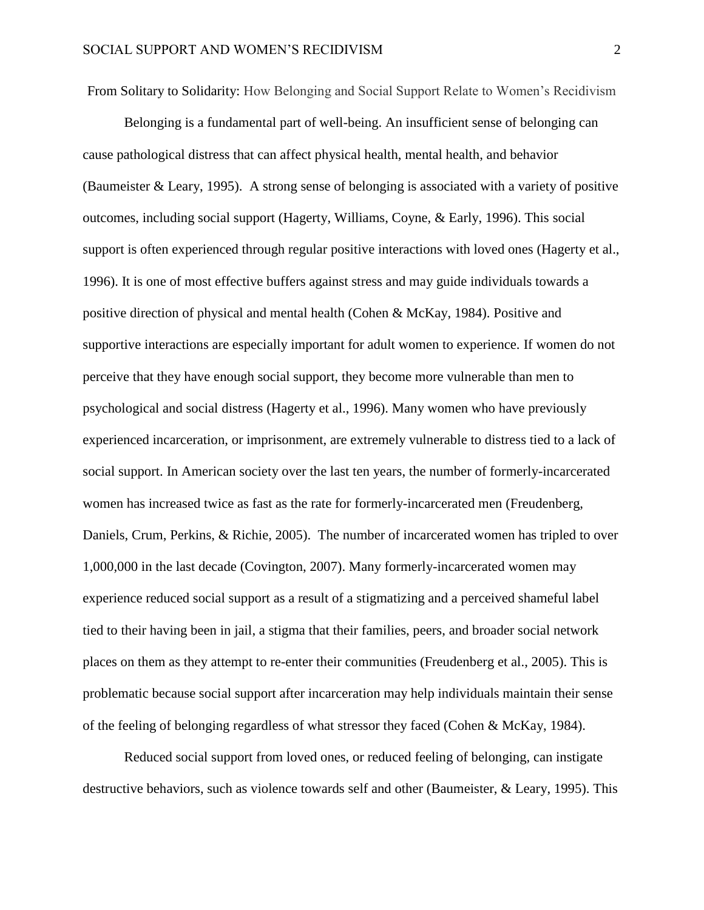From Solitary to Solidarity: How Belonging and Social Support Relate to Women's Recidivism

Belonging is a fundamental part of well-being. An insufficient sense of belonging can cause pathological distress that can affect physical health, mental health, and behavior (Baumeister & Leary, 1995). A strong sense of belonging is associated with a variety of positive outcomes, including social support (Hagerty, Williams, Coyne, & Early, 1996). This social support is often experienced through regular positive interactions with loved ones (Hagerty et al., 1996). It is one of most effective buffers against stress and may guide individuals towards a positive direction of physical and mental health (Cohen & McKay, 1984). Positive and supportive interactions are especially important for adult women to experience. If women do not perceive that they have enough social support, they become more vulnerable than men to psychological and social distress (Hagerty et al., 1996). Many women who have previously experienced incarceration, or imprisonment, are extremely vulnerable to distress tied to a lack of social support. In American society over the last ten years, the number of formerly-incarcerated women has increased twice as fast as the rate for formerly-incarcerated men (Freudenberg, Daniels, Crum, Perkins, & Richie, 2005). The number of incarcerated women has tripled to over 1,000,000 in the last decade (Covington, 2007). Many formerly-incarcerated women may experience reduced social support as a result of a stigmatizing and a perceived shameful label tied to their having been in jail, a stigma that their families, peers, and broader social network places on them as they attempt to re-enter their communities (Freudenberg et al., 2005). This is problematic because social support after incarceration may help individuals maintain their sense of the feeling of belonging regardless of what stressor they faced (Cohen & McKay, 1984).

Reduced social support from loved ones, or reduced feeling of belonging, can instigate destructive behaviors, such as violence towards self and other (Baumeister, & Leary, 1995). This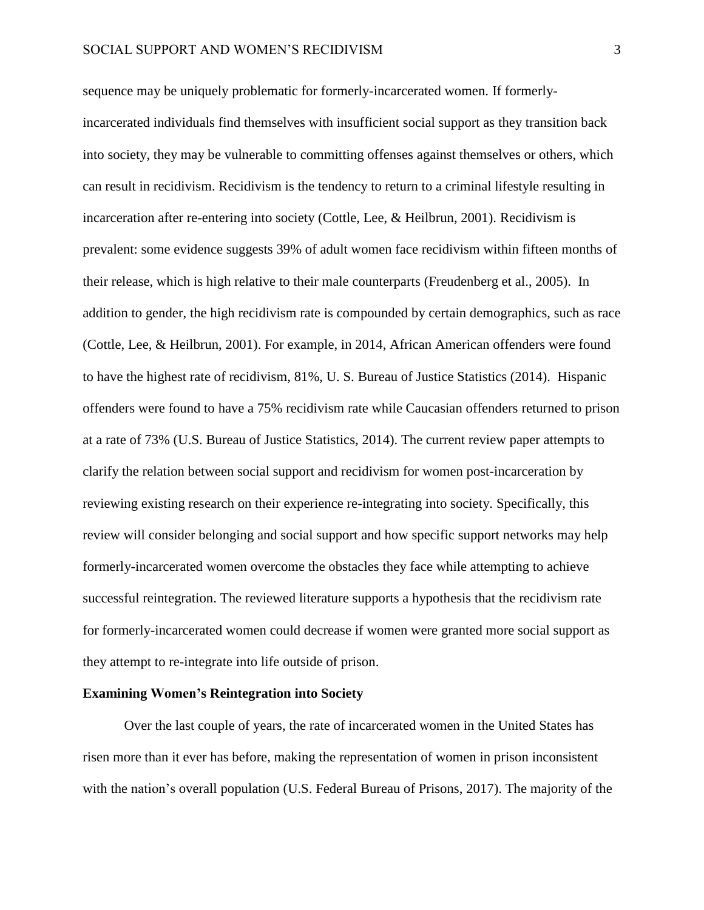sequence may be uniquely problematic for formerly-incarcerated women. If formerlyincarcerated individuals find themselves with insufficient social support as they transition back into society, they may be vulnerable to committing offenses against themselves or others, which can result in recidivism. Recidivism is the tendency to return to a criminal lifestyle resulting in incarceration after re-entering into society (Cottle, Lee, & Heilbrun, 2001). Recidivism is prevalent: some evidence suggests 39% of adult women face recidivism within fifteen months of their release, which is high relative to their male counterparts (Freudenberg et al., 2005). In addition to gender, the high recidivism rate is compounded by certain demographics, such as race (Cottle, Lee, & Heilbrun, 2001). For example, in 2014, African American offenders were found to have the highest rate of recidivism, 81%, U. S. Bureau of Justice Statistics (2014). Hispanic offenders were found to have a 75% recidivism rate while Caucasian offenders returned to prison at a rate of 73% (U.S. Bureau of Justice Statistics, 2014). The current review paper attempts to clarify the relation between social support and recidivism for women post-incarceration by reviewing existing research on their experience re-integrating into society. Specifically, this review will consider belonging and social support and how specific support networks may help formerly-incarcerated women overcome the obstacles they face while attempting to achieve successful reintegration. The reviewed literature supports a hypothesis that the recidivism rate for formerly-incarcerated women could decrease if women were granted more social support as they attempt to re-integrate into life outside of prison.

### **Examining Women's Reintegration into Society**

Over the last couple of years, the rate of incarcerated women in the United States has risen more than it ever has before, making the representation of women in prison inconsistent with the nation's overall population (U.S. Federal Bureau of Prisons, 2017). The majority of the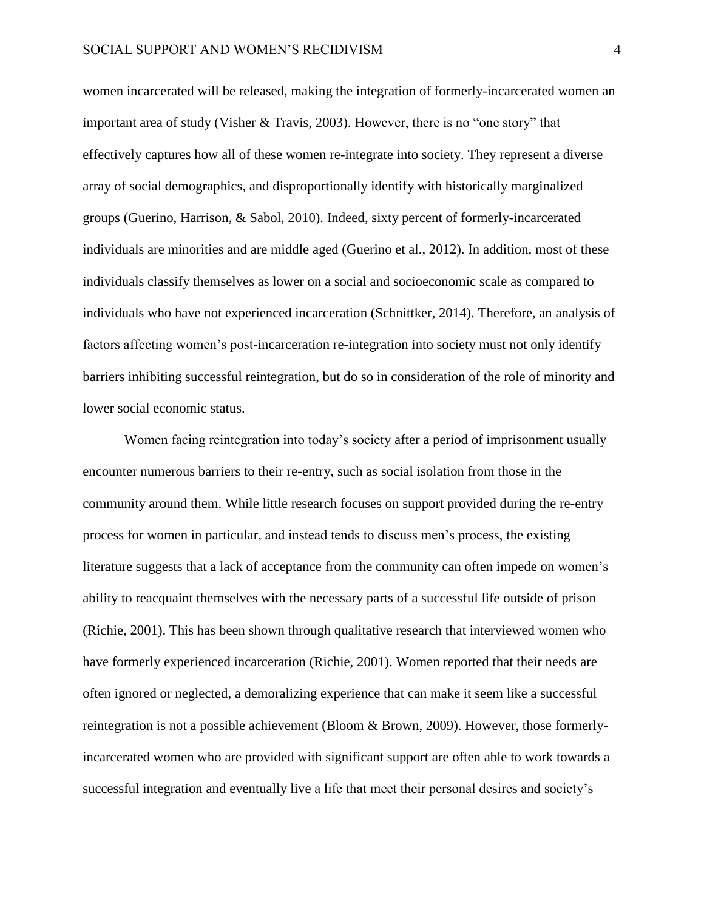women incarcerated will be released, making the integration of formerly-incarcerated women an important area of study (Visher & Travis, 2003). However, there is no "one story" that effectively captures how all of these women re-integrate into society. They represent a diverse array of social demographics, and disproportionally identify with historically marginalized groups (Guerino, Harrison, & Sabol, 2010). Indeed, sixty percent of formerly-incarcerated individuals are minorities and are middle aged (Guerino et al., 2012). In addition, most of these individuals classify themselves as lower on a social and socioeconomic scale as compared to individuals who have not experienced incarceration (Schnittker, 2014). Therefore, an analysis of factors affecting women's post-incarceration re-integration into society must not only identify barriers inhibiting successful reintegration, but do so in consideration of the role of minority and lower social economic status.

Women facing reintegration into today's society after a period of imprisonment usually encounter numerous barriers to their re-entry, such as social isolation from those in the community around them. While little research focuses on support provided during the re-entry process for women in particular, and instead tends to discuss men's process, the existing literature suggests that a lack of acceptance from the community can often impede on women's ability to reacquaint themselves with the necessary parts of a successful life outside of prison (Richie, 2001). This has been shown through qualitative research that interviewed women who have formerly experienced incarceration (Richie, 2001). Women reported that their needs are often ignored or neglected, a demoralizing experience that can make it seem like a successful reintegration is not a possible achievement (Bloom & Brown, 2009). However, those formerlyincarcerated women who are provided with significant support are often able to work towards a successful integration and eventually live a life that meet their personal desires and society's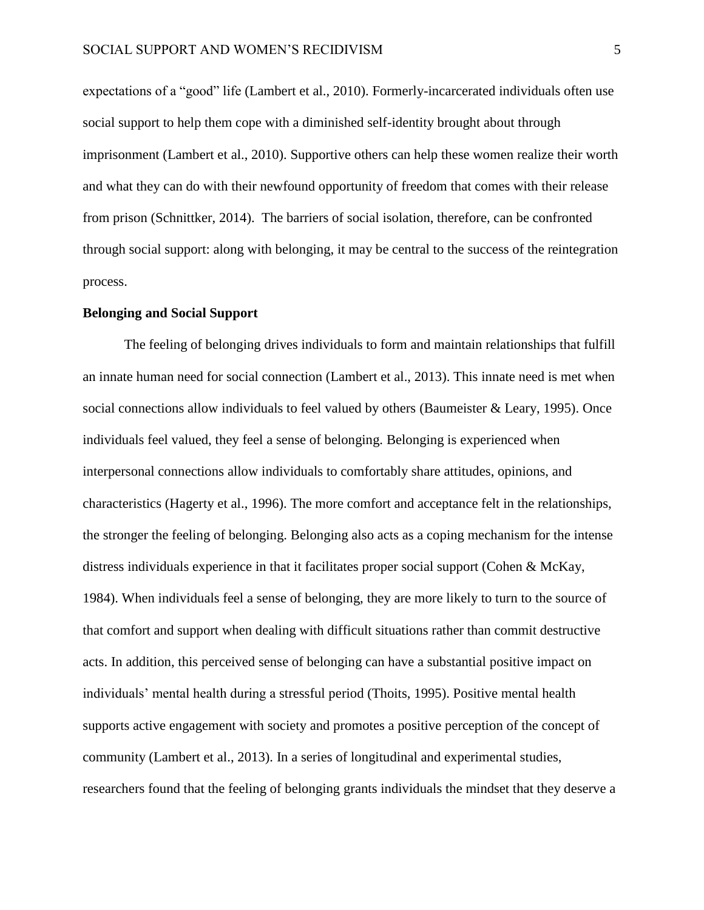expectations of a "good" life (Lambert et al., 2010). Formerly-incarcerated individuals often use social support to help them cope with a diminished self-identity brought about through imprisonment (Lambert et al., 2010). Supportive others can help these women realize their worth and what they can do with their newfound opportunity of freedom that comes with their release from prison (Schnittker, 2014). The barriers of social isolation, therefore, can be confronted through social support: along with belonging, it may be central to the success of the reintegration process.

#### **Belonging and Social Support**

The feeling of belonging drives individuals to form and maintain relationships that fulfill an innate human need for social connection (Lambert et al., 2013). This innate need is met when social connections allow individuals to feel valued by others (Baumeister & Leary, 1995). Once individuals feel valued, they feel a sense of belonging. Belonging is experienced when interpersonal connections allow individuals to comfortably share attitudes, opinions, and characteristics (Hagerty et al., 1996). The more comfort and acceptance felt in the relationships, the stronger the feeling of belonging. Belonging also acts as a coping mechanism for the intense distress individuals experience in that it facilitates proper social support (Cohen & McKay, 1984). When individuals feel a sense of belonging, they are more likely to turn to the source of that comfort and support when dealing with difficult situations rather than commit destructive acts. In addition, this perceived sense of belonging can have a substantial positive impact on individuals' mental health during a stressful period (Thoits, 1995). Positive mental health supports active engagement with society and promotes a positive perception of the concept of community (Lambert et al., 2013). In a series of longitudinal and experimental studies, researchers found that the feeling of belonging grants individuals the mindset that they deserve a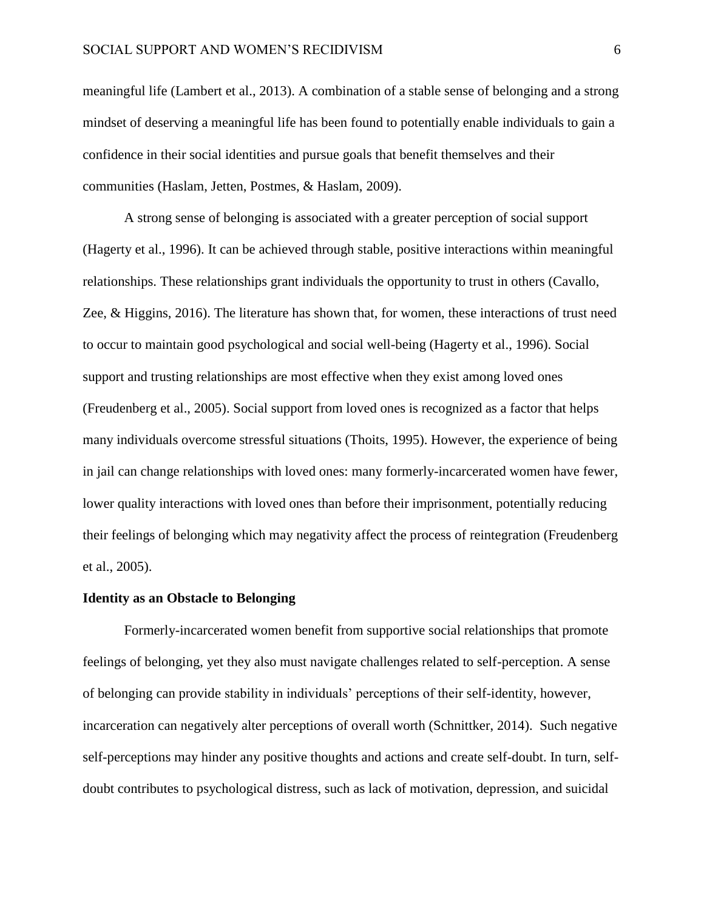meaningful life (Lambert et al., 2013). A combination of a stable sense of belonging and a strong mindset of deserving a meaningful life has been found to potentially enable individuals to gain a confidence in their social identities and pursue goals that benefit themselves and their communities (Haslam, Jetten, Postmes, & Haslam, 2009).

A strong sense of belonging is associated with a greater perception of social support (Hagerty et al., 1996). It can be achieved through stable, positive interactions within meaningful relationships. These relationships grant individuals the opportunity to trust in others (Cavallo, Zee, & Higgins, 2016). The literature has shown that, for women, these interactions of trust need to occur to maintain good psychological and social well-being (Hagerty et al., 1996). Social support and trusting relationships are most effective when they exist among loved ones (Freudenberg et al., 2005). Social support from loved ones is recognized as a factor that helps many individuals overcome stressful situations (Thoits, 1995). However, the experience of being in jail can change relationships with loved ones: many formerly-incarcerated women have fewer, lower quality interactions with loved ones than before their imprisonment, potentially reducing their feelings of belonging which may negativity affect the process of reintegration (Freudenberg et al., 2005).

#### **Identity as an Obstacle to Belonging**

Formerly-incarcerated women benefit from supportive social relationships that promote feelings of belonging, yet they also must navigate challenges related to self-perception. A sense of belonging can provide stability in individuals' perceptions of their self-identity, however, incarceration can negatively alter perceptions of overall worth (Schnittker, 2014). Such negative self-perceptions may hinder any positive thoughts and actions and create self-doubt. In turn, selfdoubt contributes to psychological distress, such as lack of motivation, depression, and suicidal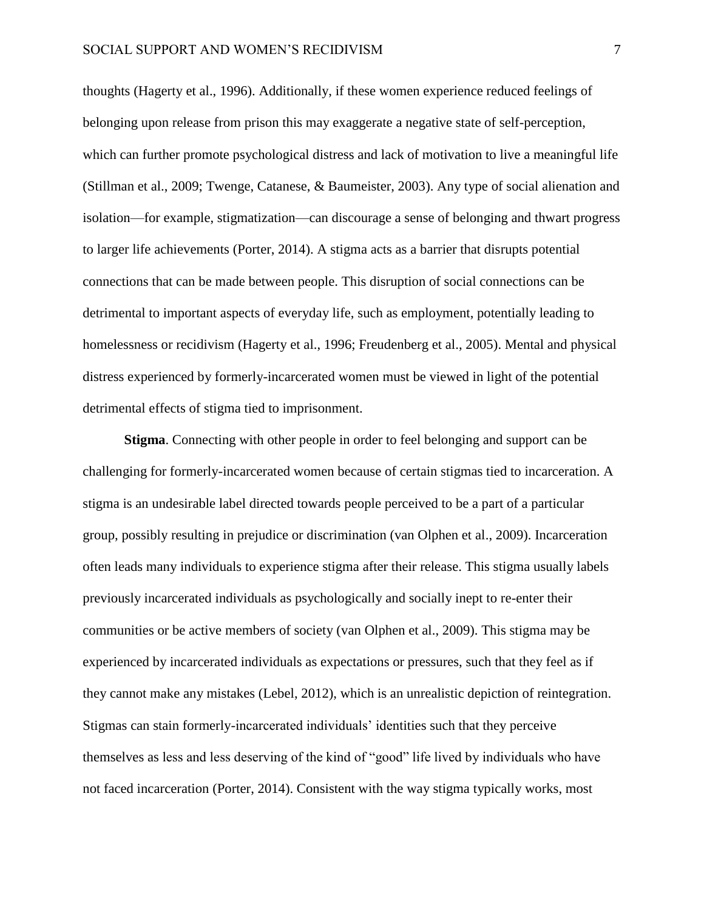thoughts (Hagerty et al., 1996). Additionally, if these women experience reduced feelings of belonging upon release from prison this may exaggerate a negative state of self-perception, which can further promote psychological distress and lack of motivation to live a meaningful life (Stillman et al., 2009; Twenge, Catanese, & Baumeister, 2003). Any type of social alienation and isolation—for example, stigmatization—can discourage a sense of belonging and thwart progress to larger life achievements (Porter, 2014). A stigma acts as a barrier that disrupts potential connections that can be made between people. This disruption of social connections can be detrimental to important aspects of everyday life, such as employment, potentially leading to homelessness or recidivism (Hagerty et al., 1996; Freudenberg et al., 2005). Mental and physical distress experienced by formerly-incarcerated women must be viewed in light of the potential detrimental effects of stigma tied to imprisonment.

**Stigma**. Connecting with other people in order to feel belonging and support can be challenging for formerly-incarcerated women because of certain stigmas tied to incarceration. A stigma is an undesirable label directed towards people perceived to be a part of a particular group, possibly resulting in prejudice or discrimination (van Olphen et al., 2009). Incarceration often leads many individuals to experience stigma after their release. This stigma usually labels previously incarcerated individuals as psychologically and socially inept to re-enter their communities or be active members of society (van Olphen et al., 2009). This stigma may be experienced by incarcerated individuals as expectations or pressures, such that they feel as if they cannot make any mistakes (Lebel, 2012), which is an unrealistic depiction of reintegration. Stigmas can stain formerly-incarcerated individuals' identities such that they perceive themselves as less and less deserving of the kind of "good" life lived by individuals who have not faced incarceration (Porter, 2014). Consistent with the way stigma typically works, most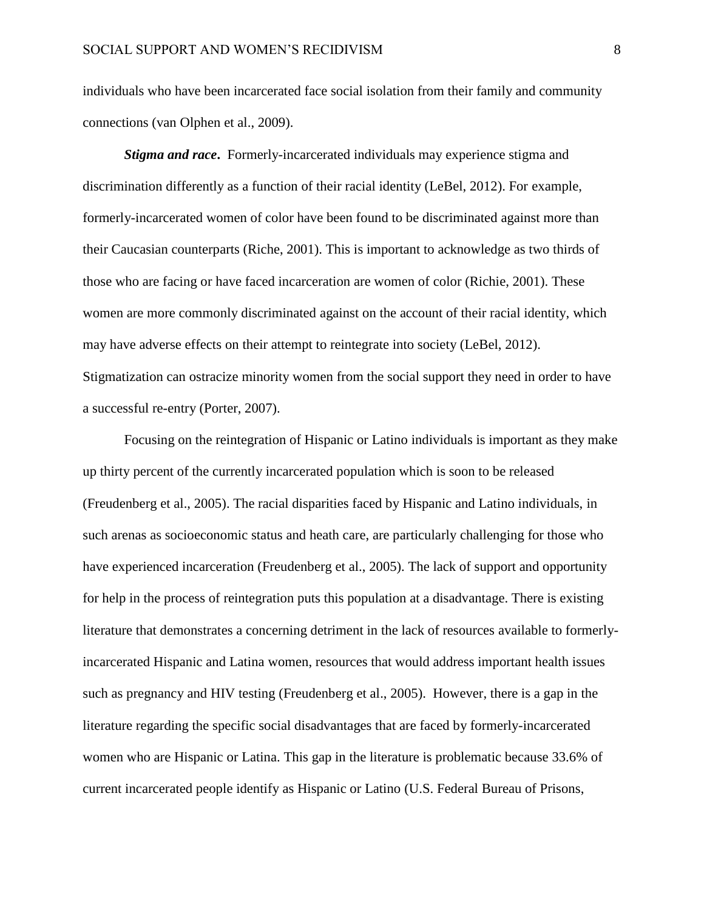individuals who have been incarcerated face social isolation from their family and community connections (van Olphen et al., 2009).

*Stigma and race***.** Formerly-incarcerated individuals may experience stigma and discrimination differently as a function of their racial identity (LeBel, 2012). For example, formerly-incarcerated women of color have been found to be discriminated against more than their Caucasian counterparts (Riche, 2001). This is important to acknowledge as two thirds of those who are facing or have faced incarceration are women of color (Richie, 2001). These women are more commonly discriminated against on the account of their racial identity, which may have adverse effects on their attempt to reintegrate into society (LeBel, 2012). Stigmatization can ostracize minority women from the social support they need in order to have a successful re-entry (Porter, 2007).

Focusing on the reintegration of Hispanic or Latino individuals is important as they make up thirty percent of the currently incarcerated population which is soon to be released (Freudenberg et al., 2005). The racial disparities faced by Hispanic and Latino individuals, in such arenas as socioeconomic status and heath care, are particularly challenging for those who have experienced incarceration (Freudenberg et al., 2005). The lack of support and opportunity for help in the process of reintegration puts this population at a disadvantage. There is existing literature that demonstrates a concerning detriment in the lack of resources available to formerlyincarcerated Hispanic and Latina women, resources that would address important health issues such as pregnancy and HIV testing (Freudenberg et al., 2005). However, there is a gap in the literature regarding the specific social disadvantages that are faced by formerly-incarcerated women who are Hispanic or Latina. This gap in the literature is problematic because 33.6% of current incarcerated people identify as Hispanic or Latino (U.S. Federal Bureau of Prisons,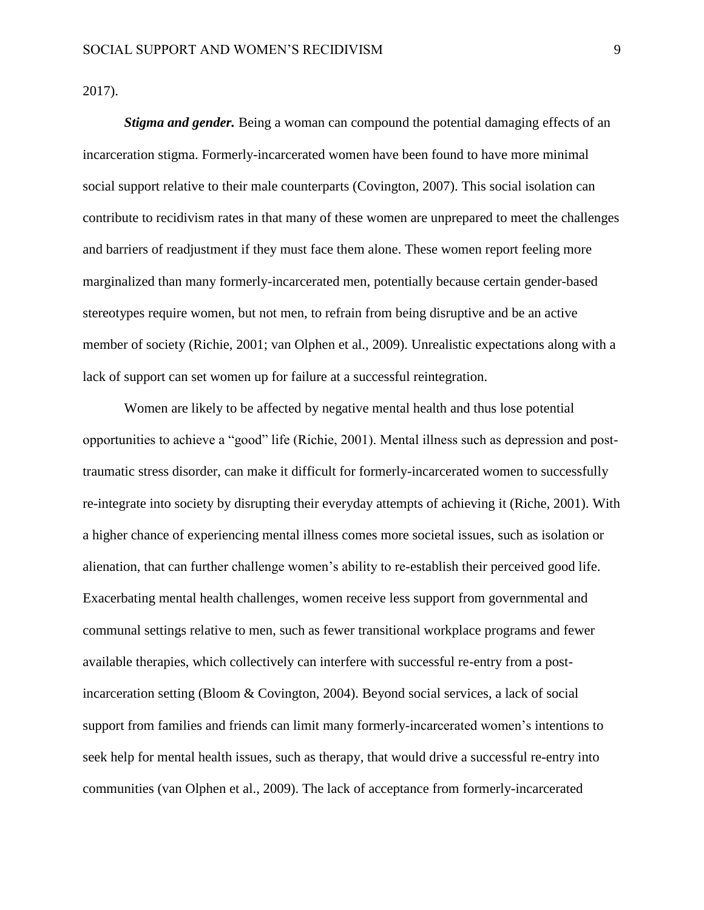2017).

*Stigma and gender.* Being a woman can compound the potential damaging effects of an incarceration stigma. Formerly-incarcerated women have been found to have more minimal social support relative to their male counterparts (Covington, 2007). This social isolation can contribute to recidivism rates in that many of these women are unprepared to meet the challenges and barriers of readjustment if they must face them alone. These women report feeling more marginalized than many formerly-incarcerated men, potentially because certain gender-based stereotypes require women, but not men, to refrain from being disruptive and be an active member of society (Richie, 2001; van Olphen et al., 2009). Unrealistic expectations along with a lack of support can set women up for failure at a successful reintegration.

Women are likely to be affected by negative mental health and thus lose potential opportunities to achieve a "good" life (Richie, 2001). Mental illness such as depression and posttraumatic stress disorder, can make it difficult for formerly-incarcerated women to successfully re-integrate into society by disrupting their everyday attempts of achieving it (Riche, 2001). With a higher chance of experiencing mental illness comes more societal issues, such as isolation or alienation, that can further challenge women's ability to re-establish their perceived good life. Exacerbating mental health challenges, women receive less support from governmental and communal settings relative to men, such as fewer transitional workplace programs and fewer available therapies, which collectively can interfere with successful re-entry from a postincarceration setting (Bloom & Covington, 2004). Beyond social services, a lack of social support from families and friends can limit many formerly-incarcerated women's intentions to seek help for mental health issues, such as therapy, that would drive a successful re-entry into communities (van Olphen et al., 2009). The lack of acceptance from formerly-incarcerated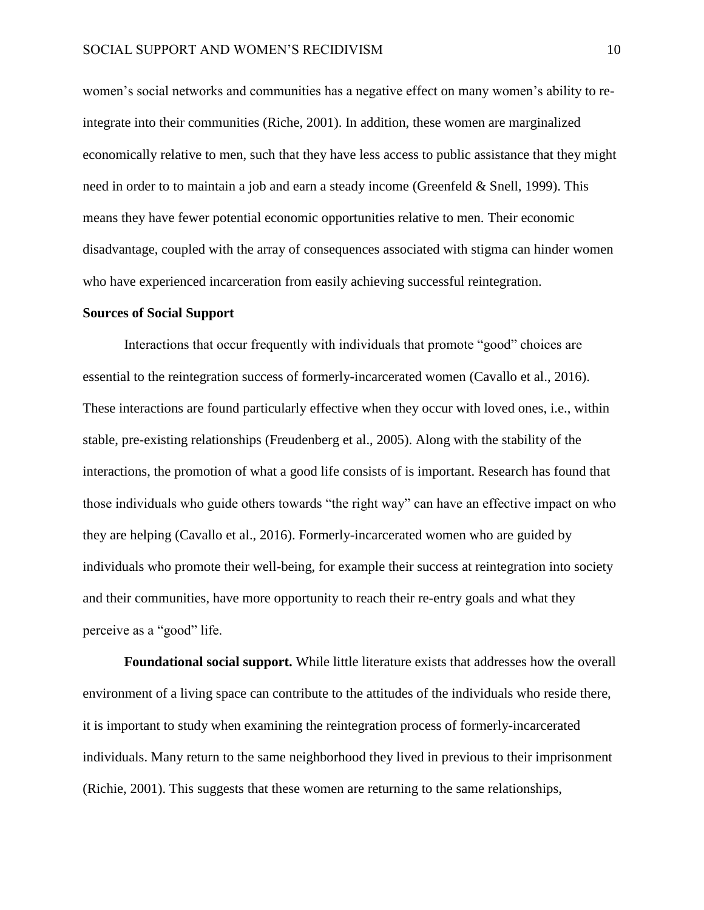women's social networks and communities has a negative effect on many women's ability to reintegrate into their communities (Riche, 2001). In addition, these women are marginalized economically relative to men, such that they have less access to public assistance that they might need in order to to maintain a job and earn a steady income (Greenfeld & Snell, 1999). This means they have fewer potential economic opportunities relative to men. Their economic disadvantage, coupled with the array of consequences associated with stigma can hinder women who have experienced incarceration from easily achieving successful reintegration.

#### **Sources of Social Support**

Interactions that occur frequently with individuals that promote "good" choices are essential to the reintegration success of formerly-incarcerated women (Cavallo et al., 2016). These interactions are found particularly effective when they occur with loved ones, i.e., within stable, pre-existing relationships (Freudenberg et al., 2005). Along with the stability of the interactions, the promotion of what a good life consists of is important. Research has found that those individuals who guide others towards "the right way" can have an effective impact on who they are helping (Cavallo et al., 2016). Formerly-incarcerated women who are guided by individuals who promote their well-being, for example their success at reintegration into society and their communities, have more opportunity to reach their re-entry goals and what they perceive as a "good" life.

**Foundational social support.** While little literature exists that addresses how the overall environment of a living space can contribute to the attitudes of the individuals who reside there, it is important to study when examining the reintegration process of formerly-incarcerated individuals. Many return to the same neighborhood they lived in previous to their imprisonment (Richie, 2001). This suggests that these women are returning to the same relationships,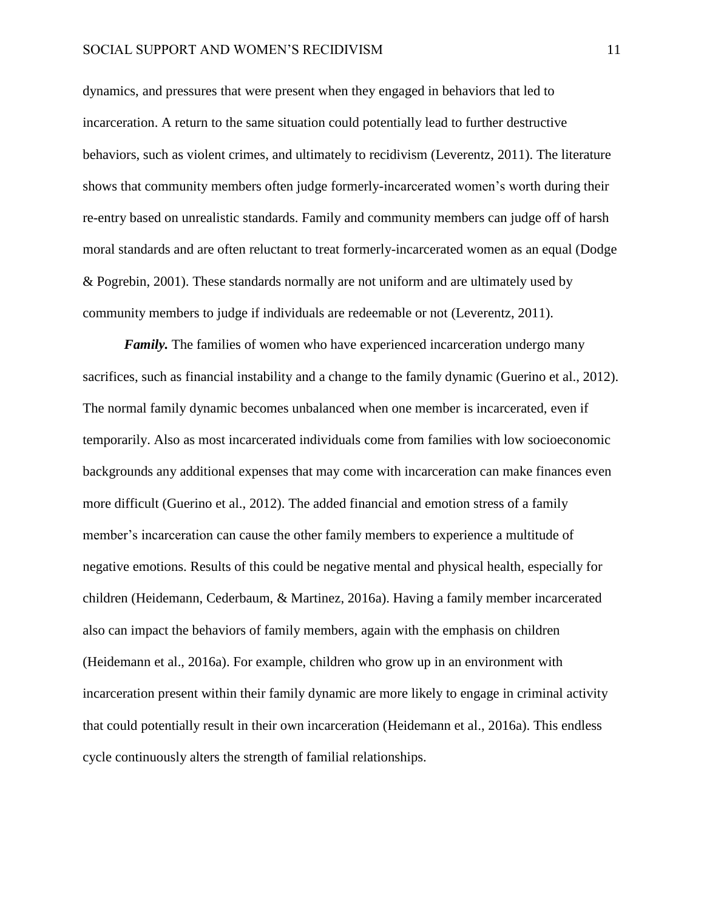dynamics, and pressures that were present when they engaged in behaviors that led to incarceration. A return to the same situation could potentially lead to further destructive behaviors, such as violent crimes, and ultimately to recidivism (Leverentz, 2011). The literature shows that community members often judge formerly-incarcerated women's worth during their re-entry based on unrealistic standards. Family and community members can judge off of harsh moral standards and are often reluctant to treat formerly-incarcerated women as an equal (Dodge & Pogrebin, 2001). These standards normally are not uniform and are ultimately used by community members to judge if individuals are redeemable or not (Leverentz, 2011).

*Family*. The families of women who have experienced incarceration undergo many sacrifices, such as financial instability and a change to the family dynamic (Guerino et al., 2012). The normal family dynamic becomes unbalanced when one member is incarcerated, even if temporarily. Also as most incarcerated individuals come from families with low socioeconomic backgrounds any additional expenses that may come with incarceration can make finances even more difficult (Guerino et al., 2012). The added financial and emotion stress of a family member's incarceration can cause the other family members to experience a multitude of negative emotions. Results of this could be negative mental and physical health, especially for children (Heidemann, Cederbaum, & Martinez, 2016a). Having a family member incarcerated also can impact the behaviors of family members, again with the emphasis on children (Heidemann et al., 2016a). For example, children who grow up in an environment with incarceration present within their family dynamic are more likely to engage in criminal activity that could potentially result in their own incarceration (Heidemann et al., 2016a). This endless cycle continuously alters the strength of familial relationships.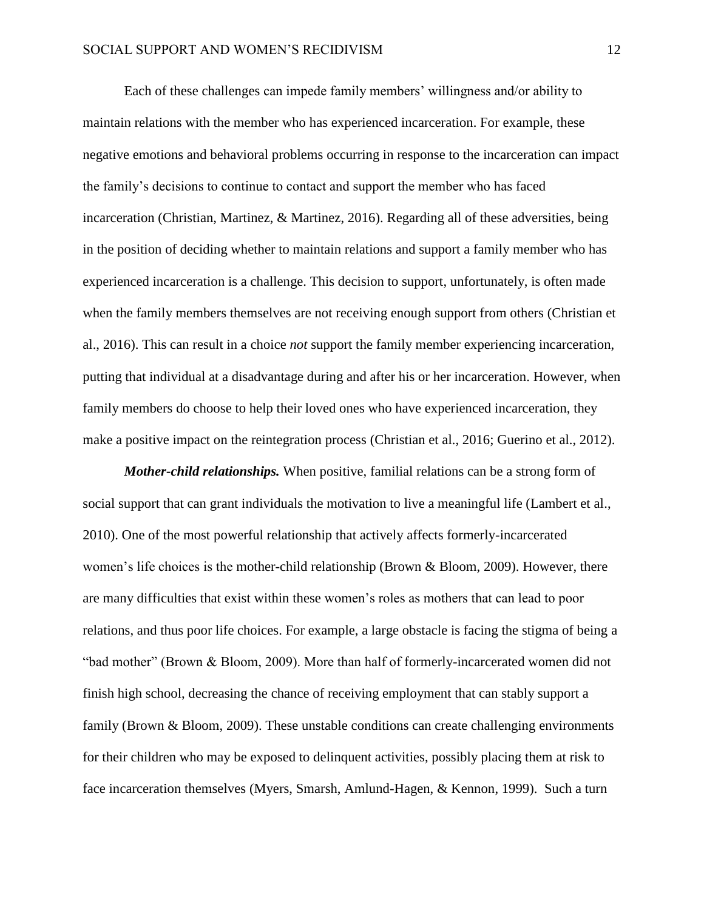Each of these challenges can impede family members' willingness and/or ability to maintain relations with the member who has experienced incarceration. For example, these negative emotions and behavioral problems occurring in response to the incarceration can impact the family's decisions to continue to contact and support the member who has faced incarceration (Christian, Martinez, & Martinez, 2016). Regarding all of these adversities, being in the position of deciding whether to maintain relations and support a family member who has experienced incarceration is a challenge. This decision to support, unfortunately, is often made when the family members themselves are not receiving enough support from others (Christian et al., 2016). This can result in a choice *not* support the family member experiencing incarceration, putting that individual at a disadvantage during and after his or her incarceration. However, when family members do choose to help their loved ones who have experienced incarceration, they make a positive impact on the reintegration process (Christian et al., 2016; Guerino et al., 2012).

*Mother-child relationships.* When positive, familial relations can be a strong form of social support that can grant individuals the motivation to live a meaningful life (Lambert et al., 2010). One of the most powerful relationship that actively affects formerly-incarcerated women's life choices is the mother-child relationship (Brown & Bloom, 2009). However, there are many difficulties that exist within these women's roles as mothers that can lead to poor relations, and thus poor life choices. For example, a large obstacle is facing the stigma of being a "bad mother" (Brown & Bloom, 2009). More than half of formerly-incarcerated women did not finish high school, decreasing the chance of receiving employment that can stably support a family (Brown & Bloom, 2009). These unstable conditions can create challenging environments for their children who may be exposed to delinquent activities, possibly placing them at risk to face incarceration themselves (Myers, Smarsh, Amlund-Hagen, & Kennon, 1999). Such a turn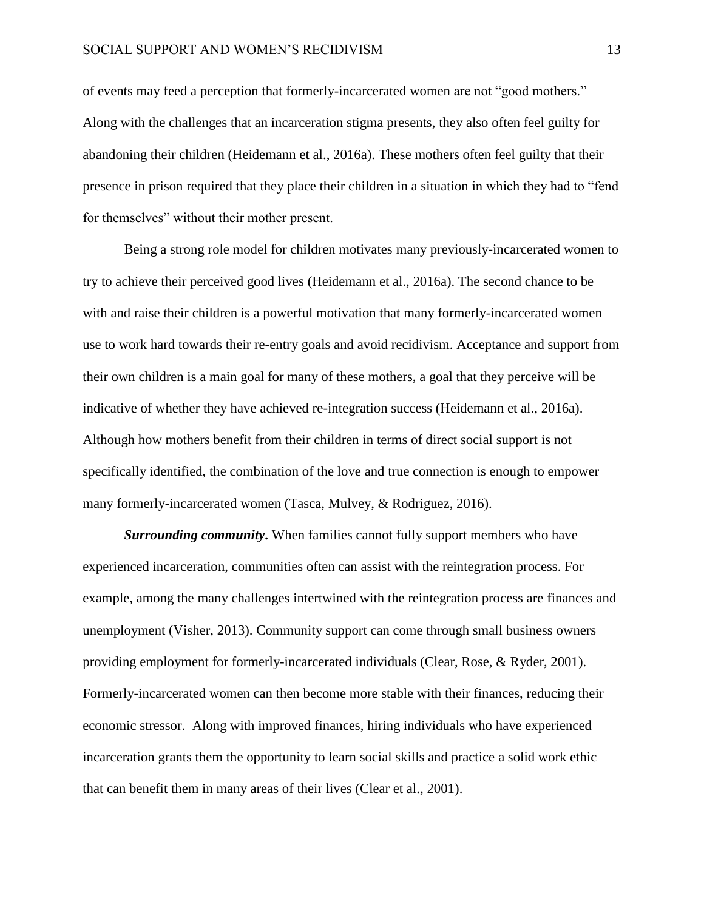of events may feed a perception that formerly-incarcerated women are not "good mothers." Along with the challenges that an incarceration stigma presents, they also often feel guilty for abandoning their children (Heidemann et al., 2016a). These mothers often feel guilty that their presence in prison required that they place their children in a situation in which they had to "fend for themselves" without their mother present.

Being a strong role model for children motivates many previously-incarcerated women to try to achieve their perceived good lives (Heidemann et al., 2016a). The second chance to be with and raise their children is a powerful motivation that many formerly-incarcerated women use to work hard towards their re-entry goals and avoid recidivism. Acceptance and support from their own children is a main goal for many of these mothers, a goal that they perceive will be indicative of whether they have achieved re-integration success (Heidemann et al., 2016a). Although how mothers benefit from their children in terms of direct social support is not specifically identified, the combination of the love and true connection is enough to empower many formerly-incarcerated women (Tasca, Mulvey, & Rodriguez, 2016).

*Surrounding community***.** When families cannot fully support members who have experienced incarceration, communities often can assist with the reintegration process. For example, among the many challenges intertwined with the reintegration process are finances and unemployment (Visher, 2013). Community support can come through small business owners providing employment for formerly-incarcerated individuals (Clear, Rose, & Ryder, 2001). Formerly-incarcerated women can then become more stable with their finances, reducing their economic stressor. Along with improved finances, hiring individuals who have experienced incarceration grants them the opportunity to learn social skills and practice a solid work ethic that can benefit them in many areas of their lives (Clear et al., 2001).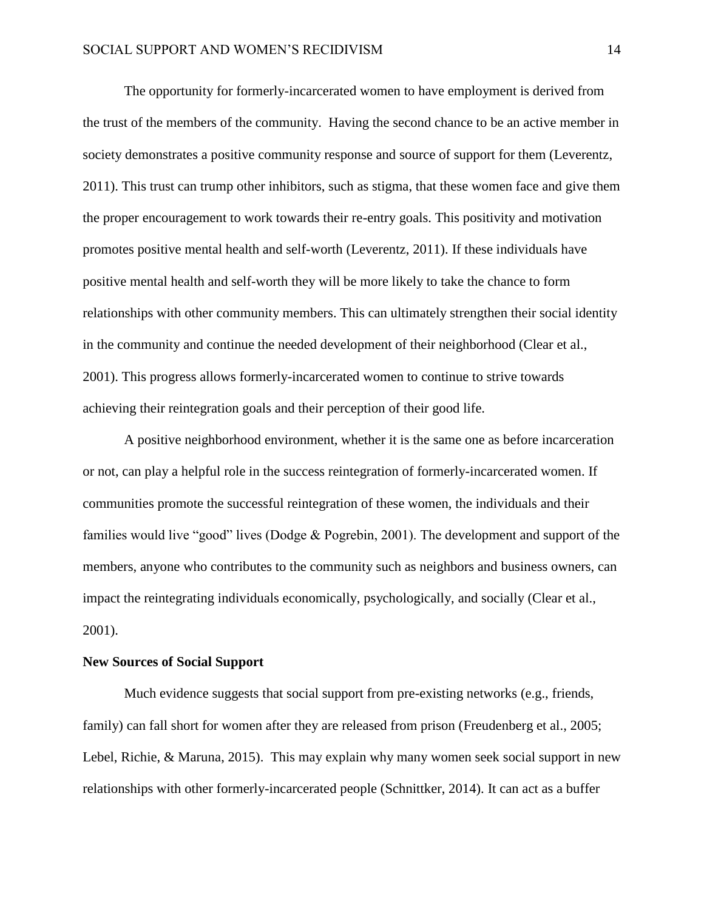The opportunity for formerly-incarcerated women to have employment is derived from the trust of the members of the community. Having the second chance to be an active member in society demonstrates a positive community response and source of support for them (Leverentz, 2011). This trust can trump other inhibitors, such as stigma, that these women face and give them the proper encouragement to work towards their re-entry goals. This positivity and motivation promotes positive mental health and self-worth (Leverentz, 2011). If these individuals have positive mental health and self-worth they will be more likely to take the chance to form relationships with other community members. This can ultimately strengthen their social identity in the community and continue the needed development of their neighborhood (Clear et al., 2001). This progress allows formerly-incarcerated women to continue to strive towards achieving their reintegration goals and their perception of their good life.

A positive neighborhood environment, whether it is the same one as before incarceration or not, can play a helpful role in the success reintegration of formerly-incarcerated women. If communities promote the successful reintegration of these women, the individuals and their families would live "good" lives (Dodge & Pogrebin, 2001). The development and support of the members, anyone who contributes to the community such as neighbors and business owners, can impact the reintegrating individuals economically, psychologically, and socially (Clear et al., 2001).

## **New Sources of Social Support**

Much evidence suggests that social support from pre-existing networks (e.g., friends, family) can fall short for women after they are released from prison (Freudenberg et al., 2005; Lebel, Richie, & Maruna, 2015). This may explain why many women seek social support in new relationships with other formerly-incarcerated people (Schnittker, 2014). It can act as a buffer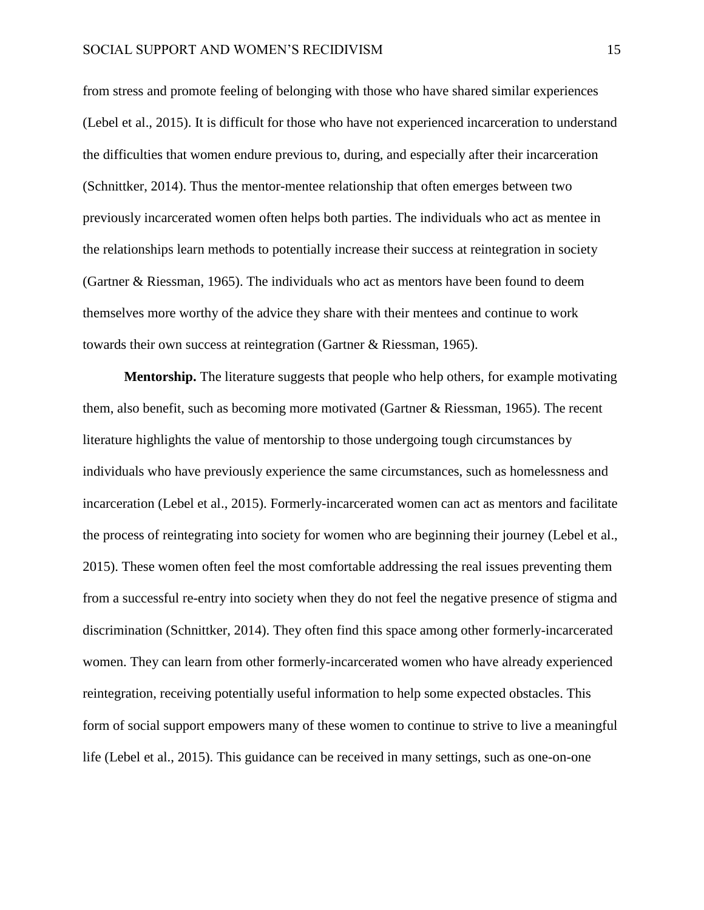from stress and promote feeling of belonging with those who have shared similar experiences (Lebel et al., 2015). It is difficult for those who have not experienced incarceration to understand the difficulties that women endure previous to, during, and especially after their incarceration (Schnittker, 2014). Thus the mentor-mentee relationship that often emerges between two previously incarcerated women often helps both parties. The individuals who act as mentee in the relationships learn methods to potentially increase their success at reintegration in society (Gartner & Riessman, 1965). The individuals who act as mentors have been found to deem themselves more worthy of the advice they share with their mentees and continue to work towards their own success at reintegration (Gartner & Riessman, 1965).

**Mentorship.** The literature suggests that people who help others, for example motivating them, also benefit, such as becoming more motivated (Gartner & Riessman, 1965). The recent literature highlights the value of mentorship to those undergoing tough circumstances by individuals who have previously experience the same circumstances, such as homelessness and incarceration (Lebel et al., 2015). Formerly-incarcerated women can act as mentors and facilitate the process of reintegrating into society for women who are beginning their journey (Lebel et al., 2015). These women often feel the most comfortable addressing the real issues preventing them from a successful re-entry into society when they do not feel the negative presence of stigma and discrimination (Schnittker, 2014). They often find this space among other formerly-incarcerated women. They can learn from other formerly-incarcerated women who have already experienced reintegration, receiving potentially useful information to help some expected obstacles. This form of social support empowers many of these women to continue to strive to live a meaningful life (Lebel et al., 2015). This guidance can be received in many settings, such as one-on-one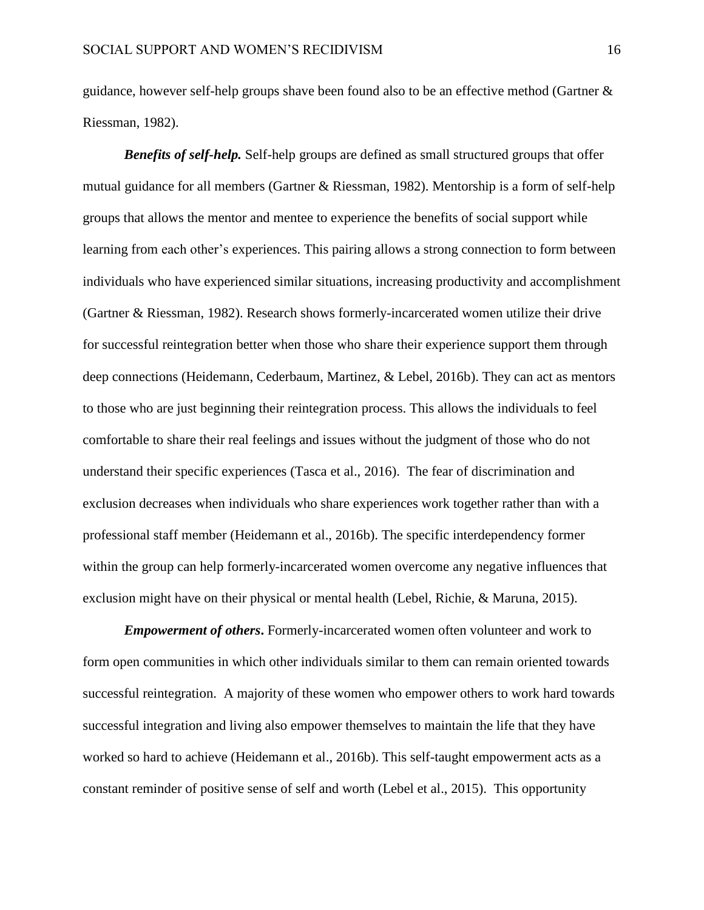guidance, however self-help groups shave been found also to be an effective method (Gartner & Riessman, 1982).

*Benefits of self-help.* Self-help groups are defined as small structured groups that offer mutual guidance for all members (Gartner & Riessman, 1982). Mentorship is a form of self-help groups that allows the mentor and mentee to experience the benefits of social support while learning from each other's experiences. This pairing allows a strong connection to form between individuals who have experienced similar situations, increasing productivity and accomplishment (Gartner & Riessman, 1982). Research shows formerly-incarcerated women utilize their drive for successful reintegration better when those who share their experience support them through deep connections (Heidemann, Cederbaum, Martinez, & Lebel, 2016b). They can act as mentors to those who are just beginning their reintegration process. This allows the individuals to feel comfortable to share their real feelings and issues without the judgment of those who do not understand their specific experiences (Tasca et al., 2016). The fear of discrimination and exclusion decreases when individuals who share experiences work together rather than with a professional staff member (Heidemann et al., 2016b). The specific interdependency former within the group can help formerly-incarcerated women overcome any negative influences that exclusion might have on their physical or mental health (Lebel, Richie, & Maruna, 2015).

*Empowerment of others***.** Formerly-incarcerated women often volunteer and work to form open communities in which other individuals similar to them can remain oriented towards successful reintegration. A majority of these women who empower others to work hard towards successful integration and living also empower themselves to maintain the life that they have worked so hard to achieve (Heidemann et al., 2016b). This self-taught empowerment acts as a constant reminder of positive sense of self and worth (Lebel et al., 2015). This opportunity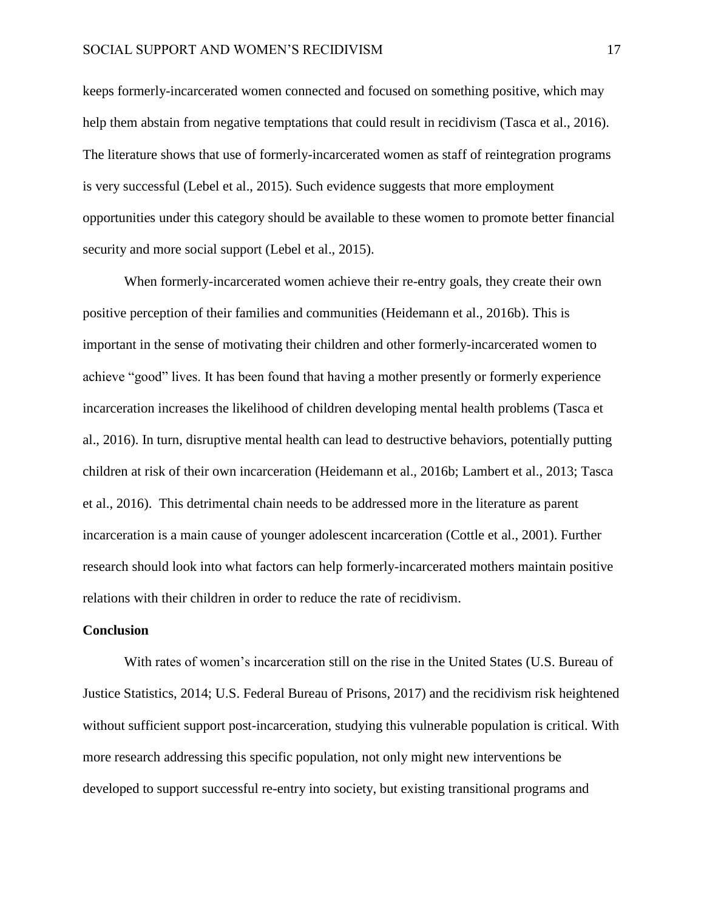keeps formerly-incarcerated women connected and focused on something positive, which may help them abstain from negative temptations that could result in recidivism (Tasca et al., 2016). The literature shows that use of formerly-incarcerated women as staff of reintegration programs is very successful (Lebel et al., 2015). Such evidence suggests that more employment opportunities under this category should be available to these women to promote better financial security and more social support (Lebel et al., 2015).

When formerly-incarcerated women achieve their re-entry goals, they create their own positive perception of their families and communities (Heidemann et al., 2016b). This is important in the sense of motivating their children and other formerly-incarcerated women to achieve "good" lives. It has been found that having a mother presently or formerly experience incarceration increases the likelihood of children developing mental health problems (Tasca et al., 2016). In turn, disruptive mental health can lead to destructive behaviors, potentially putting children at risk of their own incarceration (Heidemann et al., 2016b; Lambert et al., 2013; Tasca et al., 2016). This detrimental chain needs to be addressed more in the literature as parent incarceration is a main cause of younger adolescent incarceration (Cottle et al., 2001). Further research should look into what factors can help formerly-incarcerated mothers maintain positive relations with their children in order to reduce the rate of recidivism.

#### **Conclusion**

With rates of women's incarceration still on the rise in the United States (U.S. Bureau of Justice Statistics, 2014; U.S. Federal Bureau of Prisons, 2017) and the recidivism risk heightened without sufficient support post-incarceration, studying this vulnerable population is critical. With more research addressing this specific population, not only might new interventions be developed to support successful re-entry into society, but existing transitional programs and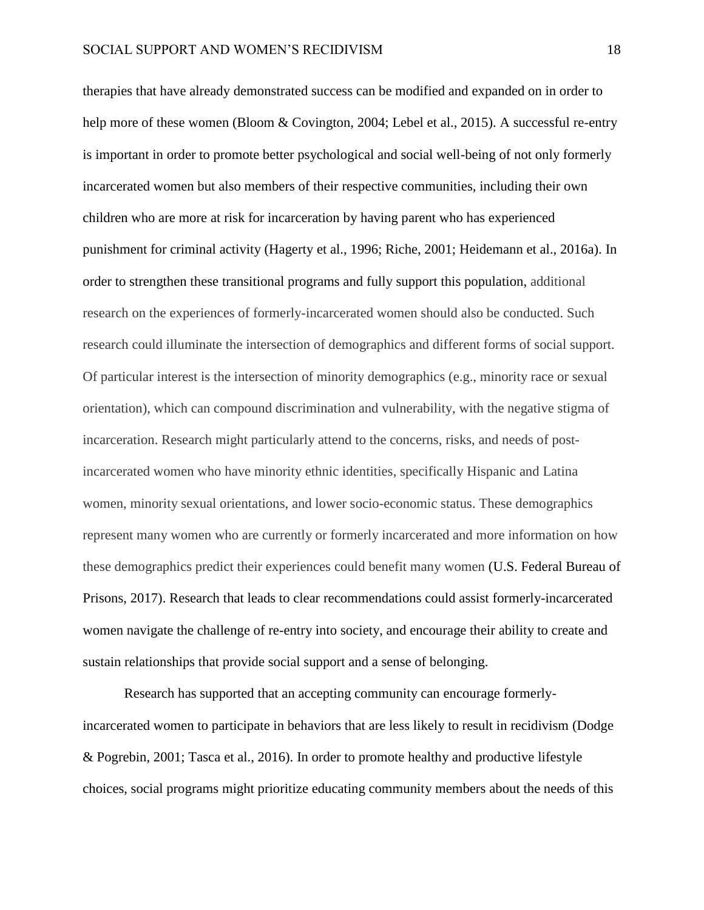therapies that have already demonstrated success can be modified and expanded on in order to help more of these women (Bloom & Covington, 2004; Lebel et al., 2015). A successful re-entry is important in order to promote better psychological and social well-being of not only formerly incarcerated women but also members of their respective communities, including their own children who are more at risk for incarceration by having parent who has experienced punishment for criminal activity (Hagerty et al., 1996; Riche, 2001; Heidemann et al., 2016a). In order to strengthen these transitional programs and fully support this population, additional research on the experiences of formerly-incarcerated women should also be conducted. Such research could illuminate the intersection of demographics and different forms of social support. Of particular interest is the intersection of minority demographics (e.g., minority race or sexual orientation), which can compound discrimination and vulnerability, with the negative stigma of incarceration. Research might particularly attend to the concerns, risks, and needs of postincarcerated women who have minority ethnic identities, specifically Hispanic and Latina women, minority sexual orientations, and lower socio-economic status. These demographics represent many women who are currently or formerly incarcerated and more information on how these demographics predict their experiences could benefit many women (U.S. Federal Bureau of Prisons, 2017). Research that leads to clear recommendations could assist formerly-incarcerated women navigate the challenge of re-entry into society, and encourage their ability to create and sustain relationships that provide social support and a sense of belonging.

Research has supported that an accepting community can encourage formerlyincarcerated women to participate in behaviors that are less likely to result in recidivism (Dodge & Pogrebin, 2001; Tasca et al., 2016). In order to promote healthy and productive lifestyle choices, social programs might prioritize educating community members about the needs of this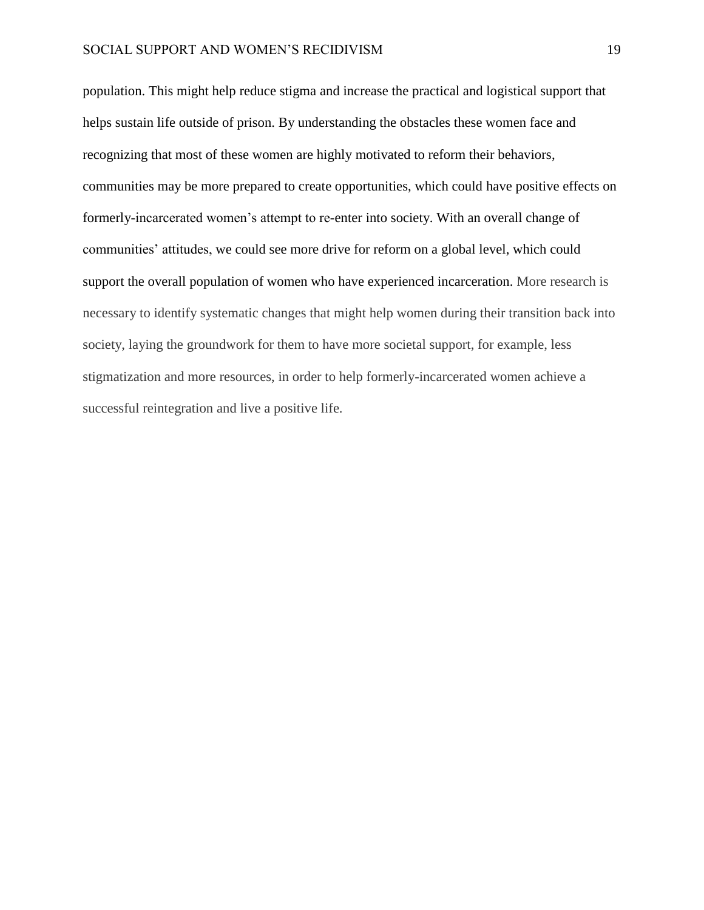population. This might help reduce stigma and increase the practical and logistical support that helps sustain life outside of prison. By understanding the obstacles these women face and recognizing that most of these women are highly motivated to reform their behaviors, communities may be more prepared to create opportunities, which could have positive effects on formerly-incarcerated women's attempt to re-enter into society. With an overall change of communities' attitudes, we could see more drive for reform on a global level, which could support the overall population of women who have experienced incarceration. More research is necessary to identify systematic changes that might help women during their transition back into society, laying the groundwork for them to have more societal support, for example, less stigmatization and more resources, in order to help formerly-incarcerated women achieve a successful reintegration and live a positive life.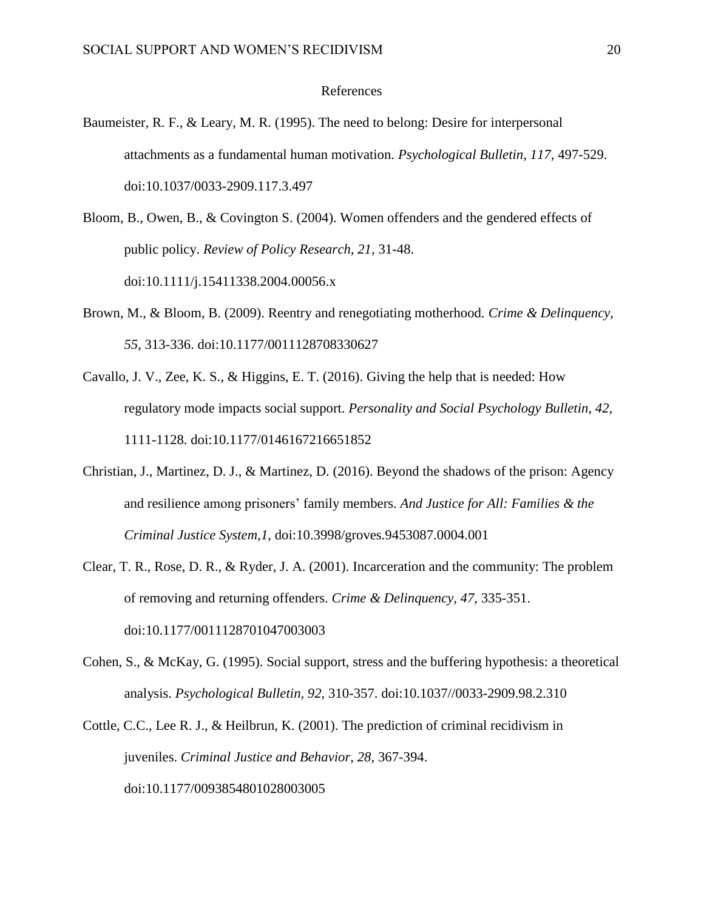### References

- Baumeister, R. F., & Leary, M. R. (1995). The need to belong: Desire for interpersonal attachments as a fundamental human motivation. *Psychological Bulletin, 117*, 497-529. doi:10.1037/0033-2909.117.3.497
- Bloom, B., Owen, B., & Covington S. (2004). Women offenders and the gendered effects of public policy. *Review of Policy Research, 21,* 31-48. doi:10.1111/j.15411338.2004.00056.x
- Brown, M., & Bloom, B. (2009). Reentry and renegotiating motherhood. *Crime & Delinquency, 55*, 313-336. doi:10.1177/0011128708330627
- Cavallo, J. V., Zee, K. S.,  $\&$  Higgins, E. T. (2016). Giving the help that is needed: How regulatory mode impacts social support. *Personality and Social Psychology Bulletin, 42,* 1111-1128. doi:10.1177/0146167216651852
- Christian, J., Martinez, D. J., & Martinez, D. (2016). Beyond the shadows of the prison: Agency and resilience among prisoners' family members. *And Justice for All: Families & the Criminal Justice System,1,* doi:10.3998/groves.9453087.0004.001
- Clear, T. R., Rose, D. R., & Ryder, J. A. (2001). Incarceration and the community: The problem of removing and returning offenders. *Crime & Delinquency, 47,* 335-351. doi:10.1177/0011128701047003003
- Cohen, S., & McKay, G. (1995). Social support, stress and the buffering hypothesis: a theoretical analysis. *Psychological Bulletin, 92,* 310-357. doi:10.1037//0033-2909.98.2.310
- Cottle, C.C., Lee R. J., & Heilbrun, K. (2001). The prediction of criminal recidivism in juveniles. *Criminal Justice and Behavior, 28,* 367-394. doi:10.1177/0093854801028003005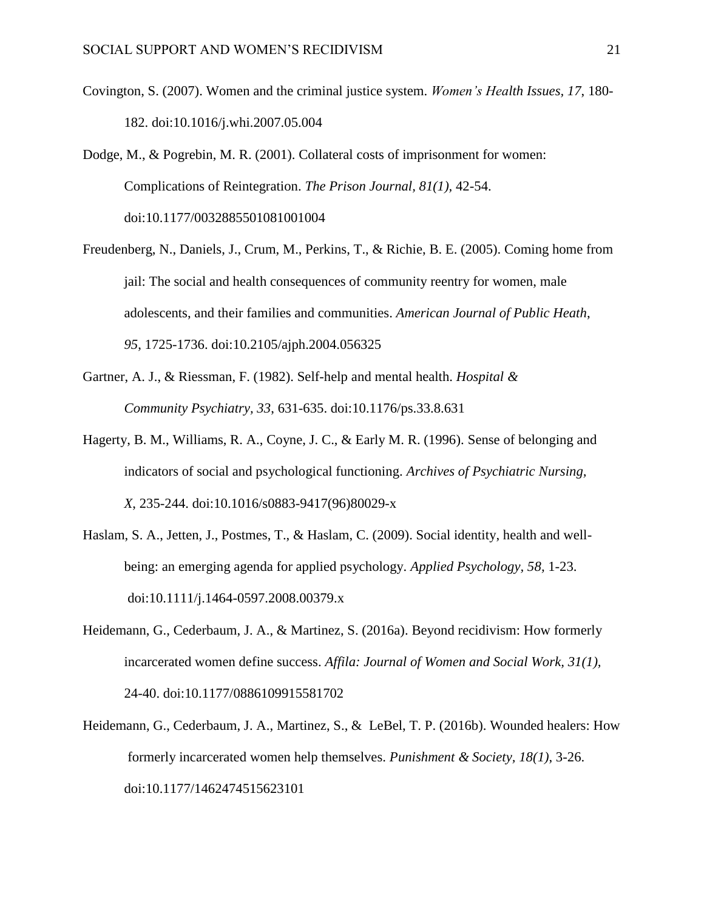- Covington, S. (2007). Women and the criminal justice system. *Women's Health Issues, 17*, 180- 182. doi:10.1016/j.whi.2007.05.004
- Dodge, M., & Pogrebin, M. R. (2001). Collateral costs of imprisonment for women: Complications of Reintegration. *The Prison Journal, 81(1),* 42-54. doi:10.1177/0032885501081001004
- Freudenberg, N., Daniels, J., Crum, M., Perkins, T., & Richie, B. E. (2005). Coming home from jail: The social and health consequences of community reentry for women, male adolescents, and their families and communities. *American Journal of Public Heath*, *95*, 1725-1736. doi:10.2105/ajph.2004.056325
- Gartner, A. J., & Riessman, F. (1982). Self-help and mental health. *Hospital & Community Psychiatry, 33*, 631-635. doi:10.1176/ps.33.8.631
- Hagerty, B. M., Williams, R. A., Coyne, J. C., & Early M. R. (1996). Sense of belonging and indicators of social and psychological functioning. *Archives of Psychiatric Nursing, X*, 235-244. doi:10.1016/s0883-9417(96)80029-x
- Haslam, S. A., Jetten, J., Postmes, T., & Haslam, C. (2009). Social identity, health and wellbeing: an emerging agenda for applied psychology. *Applied Psychology, 58,* 1-23. doi:10.1111/j.1464-0597.2008.00379.x
- Heidemann, G., Cederbaum, J. A., & Martinez, S. (2016a). Beyond recidivism: How formerly incarcerated women define success. *Affila: Journal of Women and Social Work, 31(1),* 24-40. doi:10.1177/0886109915581702
- Heidemann, G., Cederbaum, J. A., Martinez, S., & LeBel, T. P. (2016b). Wounded healers: How formerly incarcerated women help themselves. *Punishment & Society, 18(1)*, 3-26. doi:10.1177/1462474515623101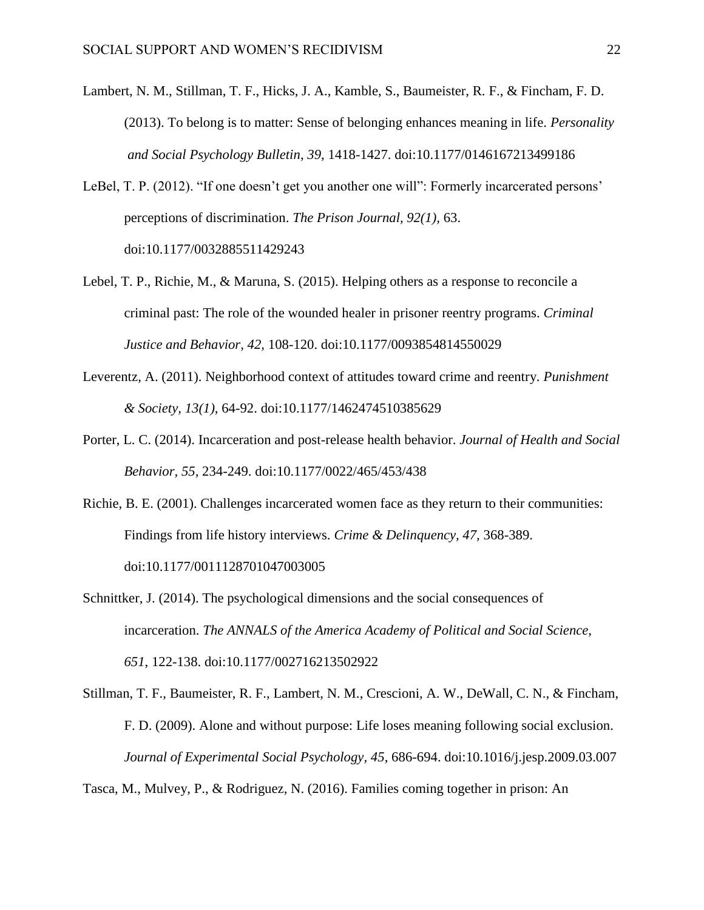- Lambert, N. M., Stillman, T. F., Hicks, J. A., Kamble, S., Baumeister, R. F., & Fincham, F. D. (2013). To belong is to matter: Sense of belonging enhances meaning in life. *Personality and Social Psychology Bulletin*, *39*, 1418-1427. doi:10.1177/0146167213499186
- LeBel, T. P. (2012). "If one doesn't get you another one will": Formerly incarcerated persons' perceptions of discrimination. *The Prison Journal, 92(1),* 63. doi:10.1177/0032885511429243
- Lebel, T. P., Richie, M., & Maruna, S. (2015). Helping others as a response to reconcile a criminal past: The role of the wounded healer in prisoner reentry programs. *Criminal Justice and Behavior, 42,* 108-120. doi:10.1177/0093854814550029
- Leverentz, A. (2011). Neighborhood context of attitudes toward crime and reentry. *Punishment & Society, 13(1),* 64-92. doi:10.1177/1462474510385629
- Porter, L. C. (2014). Incarceration and post-release health behavior. *Journal of Health and Social Behavior, 55,* 234-249. doi:10.1177/0022/465/453/438
- Richie, B. E. (2001). Challenges incarcerated women face as they return to their communities: Findings from life history interviews. *Crime & Delinquency, 47,* 368-389. doi:10.1177/0011128701047003005
- Schnittker, J. (2014). The psychological dimensions and the social consequences of incarceration. *The ANNALS of the America Academy of Political and Social Science, 651*, 122-138. doi:10.1177/002716213502922
- Stillman, T. F., Baumeister, R. F., Lambert, N. M., Crescioni, A. W., DeWall, C. N., & Fincham, F. D. (2009). Alone and without purpose: Life loses meaning following social exclusion. *Journal of Experimental Social Psychology, 45*, 686-694. doi:10.1016/j.jesp.2009.03.007

Tasca, M., Mulvey, P., & Rodriguez, N. (2016). Families coming together in prison: An